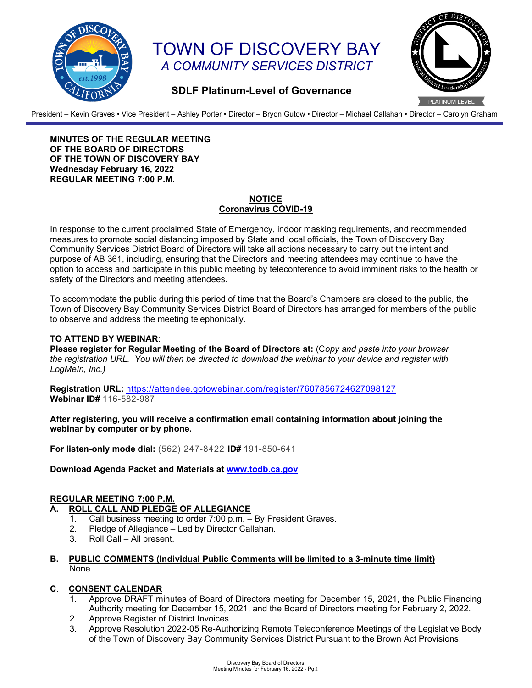

# TOWN OF DISCOVERY BAY *A COMMUNITY SERVICES DISTRICT*



## **SDLF Platinum-Level of Governance**

President – Kevin Graves • Vice President – Ashley Porter • Director – Bryon Gutow • Director – Michael Callahan • Director – Carolyn Graham

**MINUTES OF THE REGULAR MEETING OF THE BOARD OF DIRECTORS OF THE TOWN OF DISCOVERY BAY Wednesday February 16, 2022 REGULAR MEETING 7:00 P.M.** 

## **NOTICE Coronavirus COVID-19**

In response to the current proclaimed State of Emergency, indoor masking requirements, and recommended measures to promote social distancing imposed by State and local officials, the Town of Discovery Bay Community Services District Board of Directors will take all actions necessary to carry out the intent and purpose of AB 361, including, ensuring that the Directors and meeting attendees may continue to have the option to access and participate in this public meeting by teleconference to avoid imminent risks to the health or safety of the Directors and meeting attendees.

To accommodate the public during this period of time that the Board's Chambers are closed to the public, the Town of Discovery Bay Community Services District Board of Directors has arranged for members of the public to observe and address the meeting telephonically.

## **TO ATTEND BY WEBINAR**:

**Please register for Regular Meeting of the Board of Directors at:** (C*opy and paste into your browser the registration URL. You will then be directed to download the webinar to your device and register with LogMeIn, Inc.)*

**Registration URL:** <https://attendee.gotowebinar.com/register/7607856724627098127> **Webinar ID#** 116-582-987

**After registering, you will receive a confirmation email containing information about joining the webinar by computer or by phone.**

**For listen-only mode dial:** (562) 247-8422 **ID#** 191-850-641

**Download Agenda Packet and Materials at [www.todb.ca.gov](http://www.todb.ca.gov/)**

## **REGULAR MEETING 7:00 P.M.**

## **A. ROLL CALL AND PLEDGE OF ALLEGIANCE**

- 1. Call business meeting to order 7:00 p.m. By President Graves.
- 2. Pledge of Allegiance Led by Director Callahan.
- 3. Roll Call All present.

## **B. PUBLIC COMMENTS (Individual Public Comments will be limited to a 3-minute time limit)** None.

#### **C**. **CONSENT CALENDAR**

- 1. Approve DRAFT minutes of Board of Directors meeting for December 15, 2021, the Public Financing Authority meeting for December 15, 2021, and the Board of Directors meeting for February 2, 2022.
- 2. Approve Register of District Invoices.
- 3. Approve Resolution 2022-05 Re-Authorizing Remote Teleconference Meetings of the Legislative Body of the Town of Discovery Bay Community Services District Pursuant to the Brown Act Provisions.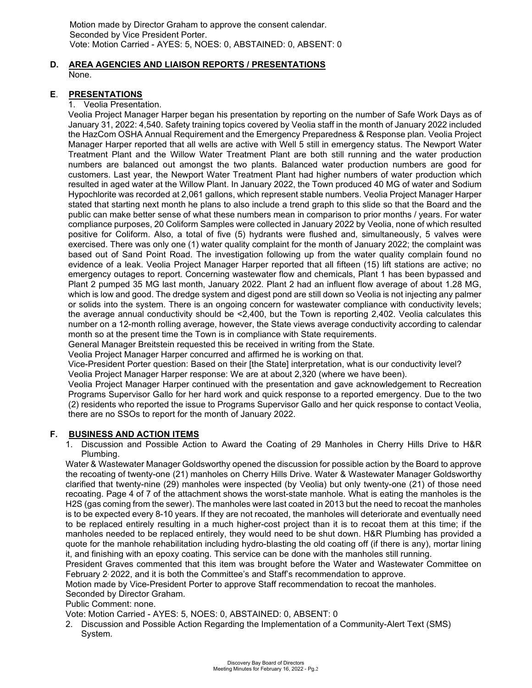Motion made by Director Graham to approve the consent calendar. Seconded by Vice President Porter. Vote: Motion Carried - AYES: 5, NOES: 0, ABSTAINED: 0, ABSENT: 0

## **D. AREA AGENCIES AND LIAISON REPORTS / PRESENTATIONS** None.

## **E**. **PRESENTATIONS**

#### 1. Veolia Presentation.

Veolia Project Manager Harper began his presentation by reporting on the number of Safe Work Days as of January 31, 2022: 4,540. Safety training topics covered by Veolia staff in the month of January 2022 included the HazCom OSHA Annual Requirement and the Emergency Preparedness & Response plan. Veolia Project Manager Harper reported that all wells are active with Well 5 still in emergency status. The Newport Water Treatment Plant and the Willow Water Treatment Plant are both still running and the water production numbers are balanced out amongst the two plants. Balanced water production numbers are good for customers. Last year, the Newport Water Treatment Plant had higher numbers of water production which resulted in aged water at the Willow Plant. In January 2022, the Town produced 40 MG of water and Sodium Hypochlorite was recorded at 2,061 gallons, which represent stable numbers. Veolia Project Manager Harper stated that starting next month he plans to also include a trend graph to this slide so that the Board and the public can make better sense of what these numbers mean in comparison to prior months / years. For water compliance purposes, 20 Coliform Samples were collected in January 2022 by Veolia, none of which resulted positive for Coliform. Also, a total of five (5) hydrants were flushed and, simultaneously, 5 valves were exercised. There was only one (1) water quality complaint for the month of January 2022; the complaint was based out of Sand Point Road. The investigation following up from the water quality complain found no evidence of a leak. Veolia Project Manager Harper reported that all fifteen (15) lift stations are active; no emergency outages to report. Concerning wastewater flow and chemicals, Plant 1 has been bypassed and Plant 2 pumped 35 MG last month, January 2022. Plant 2 had an influent flow average of about 1.28 MG, which is low and good. The dredge system and digest pond are still down so Veolia is not injecting any palmer or solids into the system. There is an ongoing concern for wastewater compliance with conductivity levels; the average annual conductivity should be <2,400, but the Town is reporting 2,402. Veolia calculates this number on a 12-month rolling average, however, the State views average conductivity according to calendar month so at the present time the Town is in compliance with State requirements.

General Manager Breitstein requested this be received in writing from the State.

Veolia Project Manager Harper concurred and affirmed he is working on that.

Vice-President Porter question: Based on their [the State] interpretation, what is our conductivity level? Veolia Project Manager Harper response: We are at about 2,320 (where we have been).

Veolia Project Manager Harper continued with the presentation and gave acknowledgement to Recreation Programs Supervisor Gallo for her hard work and quick response to a reported emergency. Due to the two (2) residents who reported the issue to Programs Supervisor Gallo and her quick response to contact Veolia, there are no SSOs to report for the month of January 2022.

#### **F. BUSINESS AND ACTION ITEMS**

1. Discussion and Possible Action to Award the Coating of 29 Manholes in Cherry Hills Drive to H&R Plumbing.

Water & Wastewater Manager Goldsworthy opened the discussion for possible action by the Board to approve the recoating of twenty-one (21) manholes on Cherry Hills Drive. Water & Wastewater Manager Goldsworthy clarified that twenty-nine (29) manholes were inspected (by Veolia) but only twenty-one (21) of those need recoating. Page 4 of 7 of the attachment shows the worst-state manhole. What is eating the manholes is the H2S (gas coming from the sewer). The manholes were last coated in 2013 but the need to recoat the manholes is to be expected every 8-10 years. If they are not recoated, the manholes will deteriorate and eventually need to be replaced entirely resulting in a much higher-cost project than it is to recoat them at this time; if the manholes needed to be replaced entirely, they would need to be shut down. H&R Plumbing has provided a quote for the manhole rehabilitation including hydro-blasting the old coating off (if there is any), mortar lining it, and finishing with an epoxy coating. This service can be done with the manholes still running.

President Graves commented that this item was brought before the Water and Wastewater Committee on February 2, 2022, and it is both the Committee's and Staff's recommendation to approve.

Motion made by Vice-President Porter to approve Staff recommendation to recoat the manholes.

## Seconded by Director Graham.

#### Public Comment: none.

Vote: Motion Carried - AYES: 5, NOES: 0, ABSTAINED: 0, ABSENT: 0

2. Discussion and Possible Action Regarding the Implementation of a Community-Alert Text (SMS) System.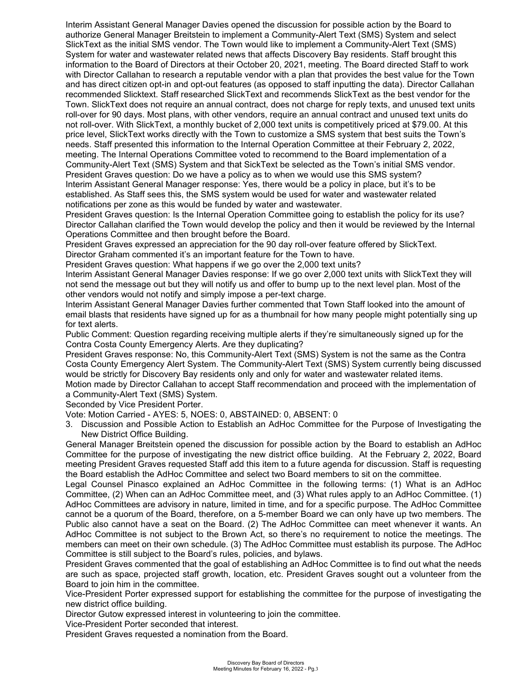Interim Assistant General Manager Davies opened the discussion for possible action by the Board to authorize General Manager Breitstein to implement a Community-Alert Text (SMS) System and select SlickText as the initial SMS vendor. The Town would like to implement a Community-Alert Text (SMS) System for water and wastewater related news that affects Discovery Bay residents. Staff brought this information to the Board of Directors at their October 20, 2021, meeting. The Board directed Staff to work with Director Callahan to research a reputable vendor with a plan that provides the best value for the Town and has direct citizen opt-in and opt-out features (as opposed to staff inputting the data). Director Callahan recommended Slicktext. Staff researched SlickText and recommends SlickText as the best vendor for the Town. SlickText does not require an annual contract, does not charge for reply texts, and unused text units roll-over for 90 days. Most plans, with other vendors, require an annual contract and unused text units do not roll-over. With SlickText, a monthly bucket of 2,000 text units is competitively priced at \$79.00. At this price level, SlickText works directly with the Town to customize a SMS system that best suits the Town's needs. Staff presented this information to the Internal Operation Committee at their February 2, 2022, meeting. The Internal Operations Committee voted to recommend to the Board implementation of a Community-Alert Text (SMS) System and that SickText be selected as the Town's initial SMS vendor. President Graves question: Do we have a policy as to when we would use this SMS system? Interim Assistant General Manager response: Yes, there would be a policy in place, but it's to be established. As Staff sees this, the SMS system would be used for water and wastewater related notifications per zone as this would be funded by water and wastewater.

President Graves question: Is the Internal Operation Committee going to establish the policy for its use? Director Callahan clarified the Town would develop the policy and then it would be reviewed by the Internal Operations Committee and then brought before the Board.

President Graves expressed an appreciation for the 90 day roll-over feature offered by SlickText. Director Graham commented it's an important feature for the Town to have.

President Graves question: What happens if we go over the 2,000 text units?

Interim Assistant General Manager Davies response: If we go over 2,000 text units with SlickText they will not send the message out but they will notify us and offer to bump up to the next level plan. Most of the other vendors would not notify and simply impose a per-text charge.

Interim Assistant General Manager Davies further commented that Town Staff looked into the amount of email blasts that residents have signed up for as a thumbnail for how many people might potentially sing up for text alerts.

Public Comment: Question regarding receiving multiple alerts if they're simultaneously signed up for the Contra Costa County Emergency Alerts. Are they duplicating?

President Graves response: No, this Community-Alert Text (SMS) System is not the same as the Contra Costa County Emergency Alert System. The Community-Alert Text (SMS) System currently being discussed would be strictly for Discovery Bay residents only and only for water and wastewater related items.

Motion made by Director Callahan to accept Staff recommendation and proceed with the implementation of a Community-Alert Text (SMS) System.

Seconded by Vice President Porter.

Vote: Motion Carried - AYES: 5, NOES: 0, ABSTAINED: 0, ABSENT: 0

3. Discussion and Possible Action to Establish an AdHoc Committee for the Purpose of Investigating the New District Office Building.

General Manager Breitstein opened the discussion for possible action by the Board to establish an AdHoc Committee for the purpose of investigating the new district office building. At the February 2, 2022, Board meeting President Graves requested Staff add this item to a future agenda for discussion. Staff is requesting the Board establish the AdHoc Committee and select two Board members to sit on the committee.

Legal Counsel Pinasco explained an AdHoc Committee in the following terms: (1) What is an AdHoc Committee, (2) When can an AdHoc Committee meet, and (3) What rules apply to an AdHoc Committee. (1) AdHoc Committees are advisory in nature, limited in time, and for a specific purpose. The AdHoc Committee cannot be a quorum of the Board, therefore, on a 5-member Board we can only have up two members. The Public also cannot have a seat on the Board. (2) The AdHoc Committee can meet whenever it wants. An AdHoc Committee is not subject to the Brown Act, so there's no requirement to notice the meetings. The members can meet on their own schedule. (3) The AdHoc Committee must establish its purpose. The AdHoc Committee is still subject to the Board's rules, policies, and bylaws.

President Graves commented that the goal of establishing an AdHoc Committee is to find out what the needs are such as space, projected staff growth, location, etc. President Graves sought out a volunteer from the Board to join him in the committee.

Vice-President Porter expressed support for establishing the committee for the purpose of investigating the new district office building.

Director Gutow expressed interest in volunteering to join the committee.

Vice-President Porter seconded that interest.

President Graves requested a nomination from the Board.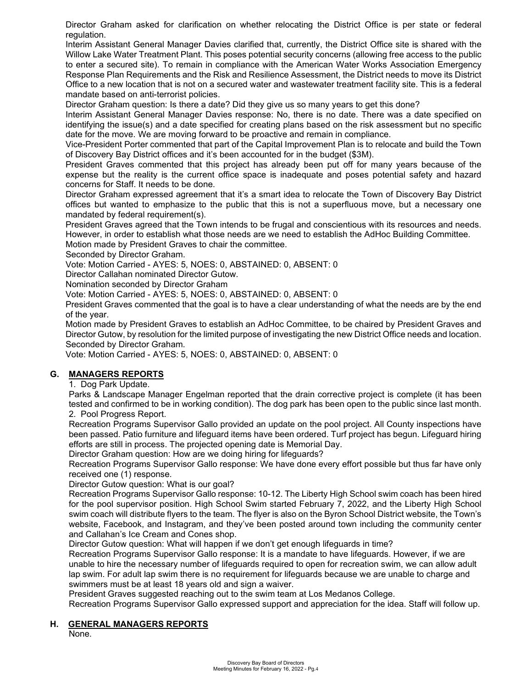Director Graham asked for clarification on whether relocating the District Office is per state or federal regulation.

Interim Assistant General Manager Davies clarified that, currently, the District Office site is shared with the Willow Lake Water Treatment Plant. This poses potential security concerns (allowing free access to the public to enter a secured site). To remain in compliance with the American Water Works Association Emergency Response Plan Requirements and the Risk and Resilience Assessment, the District needs to move its District Office to a new location that is not on a secured water and wastewater treatment facility site. This is a federal mandate based on anti-terrorist policies.

Director Graham question: Is there a date? Did they give us so many years to get this done?

Interim Assistant General Manager Davies response: No, there is no date. There was a date specified on identifying the issue(s) and a date specified for creating plans based on the risk assessment but no specific date for the move. We are moving forward to be proactive and remain in compliance.

Vice-President Porter commented that part of the Capital Improvement Plan is to relocate and build the Town of Discovery Bay District offices and it's been accounted for in the budget (\$3M).

President Graves commented that this project has already been put off for many years because of the expense but the reality is the current office space is inadequate and poses potential safety and hazard concerns for Staff. It needs to be done.

Director Graham expressed agreement that it's a smart idea to relocate the Town of Discovery Bay District offices but wanted to emphasize to the public that this is not a superfluous move, but a necessary one mandated by federal requirement(s).

President Graves agreed that the Town intends to be frugal and conscientious with its resources and needs. However, in order to establish what those needs are we need to establish the AdHoc Building Committee.

Motion made by President Graves to chair the committee.

Seconded by Director Graham.

Vote: Motion Carried - AYES: 5, NOES: 0, ABSTAINED: 0, ABSENT: 0

Director Callahan nominated Director Gutow.

Nomination seconded by Director Graham

Vote: Motion Carried - AYES: 5, NOES: 0, ABSTAINED: 0, ABSENT: 0

President Graves commented that the goal is to have a clear understanding of what the needs are by the end of the year.

Motion made by President Graves to establish an AdHoc Committee, to be chaired by President Graves and Director Gutow, by resolution for the limited purpose of investigating the new District Office needs and location. Seconded by Director Graham.

Vote: Motion Carried - AYES: 5, NOES: 0, ABSTAINED: 0, ABSENT: 0

## **G. MANAGERS REPORTS**

1. Dog Park Update.

Parks & Landscape Manager Engelman reported that the drain corrective project is complete (it has been tested and confirmed to be in working condition). The dog park has been open to the public since last month. 2. Pool Progress Report.

Recreation Programs Supervisor Gallo provided an update on the pool project. All County inspections have been passed. Patio furniture and lifeguard items have been ordered. Turf project has begun. Lifeguard hiring efforts are still in process. The projected opening date is Memorial Day.

Director Graham question: How are we doing hiring for lifeguards?

Recreation Programs Supervisor Gallo response: We have done every effort possible but thus far have only received one (1) response.

Director Gutow question: What is our goal?

Recreation Programs Supervisor Gallo response: 10-12. The Liberty High School swim coach has been hired for the pool supervisor position. High School Swim started February 7, 2022, and the Liberty High School swim coach will distribute flyers to the team. The flyer is also on the Byron School District website, the Town's website, Facebook, and Instagram, and they've been posted around town including the community center and Callahan's Ice Cream and Cones shop.

Director Gutow question: What will happen if we don't get enough lifeguards in time?

Recreation Programs Supervisor Gallo response: It is a mandate to have lifeguards. However, if we are unable to hire the necessary number of lifeguards required to open for recreation swim, we can allow adult lap swim. For adult lap swim there is no requirement for lifeguards because we are unable to charge and swimmers must be at least 18 years old and sign a waiver.

President Graves suggested reaching out to the swim team at Los Medanos College.

Recreation Programs Supervisor Gallo expressed support and appreciation for the idea. Staff will follow up.

#### **H. GENERAL MANAGERS REPORTS**

None.